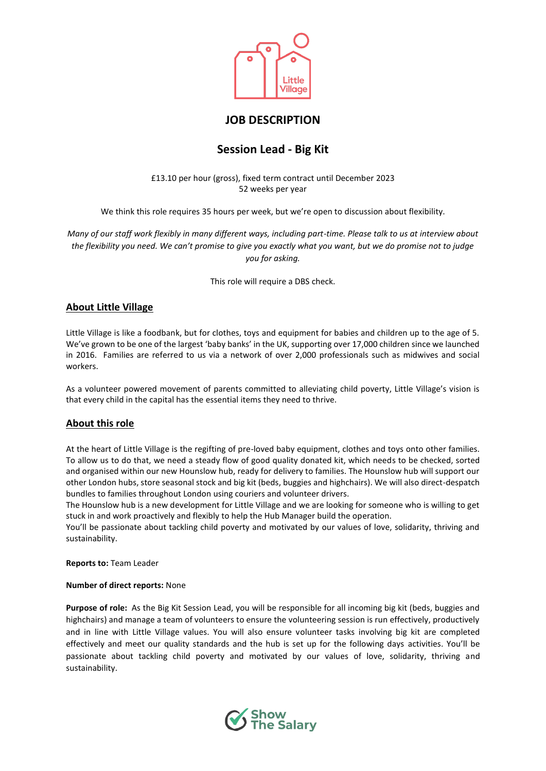

# **JOB DESCRIPTION**

# **Session Lead - Big Kit**

£13.10 per hour (gross), fixed term contract until December 2023 52 weeks per year

We think this role requires 35 hours per week, but we're open to discussion about flexibility.

*Many of our staff work flexibly in many different ways, including part-time. Please talk to us at interview about the flexibility you need. We can't promise to give you exactly what you want, but we do promise not to judge you for asking.* 

This role will require a DBS check.

# **About Little Village**

Little Village is like a foodbank, but for clothes, toys and equipment for babies and children up to the age of 5. We've grown to be one of the largest 'baby banks' in the UK, supporting over 17,000 children since we launched in 2016. Families are referred to us via a network of over 2,000 professionals such as midwives and social workers.

As a volunteer powered movement of parents committed to alleviating child poverty, Little Village's vision is that every child in the capital has the essential items they need to thrive.

# **About this role**

At the heart of Little Village is the regifting of pre-loved baby equipment, clothes and toys onto other families. To allow us to do that, we need a steady flow of good quality donated kit, which needs to be checked, sorted and organised within our new Hounslow hub, ready for delivery to families. The Hounslow hub will support our other London hubs, store seasonal stock and big kit (beds, buggies and highchairs). We will also direct-despatch bundles to families throughout London using couriers and volunteer drivers.

The Hounslow hub is a new development for Little Village and we are looking for someone who is willing to get stuck in and work proactively and flexibly to help the Hub Manager build the operation.

You'll be passionate about tackling child poverty and motivated by our values of love, solidarity, thriving and sustainability.

**Reports to:** Team Leader

### **Number of direct reports:** None

**Purpose of role:** As the Big Kit Session Lead, you will be responsible for all incoming big kit (beds, buggies and highchairs) and manage a team of volunteers to ensure the volunteering session is run effectively, productively and in line with Little Village values. You will also ensure volunteer tasks involving big kit are completed effectively and meet our quality standards and the hub is set up for the following days activities. You'll be passionate about tackling child poverty and motivated by our values of love, solidarity, thriving and sustainability.

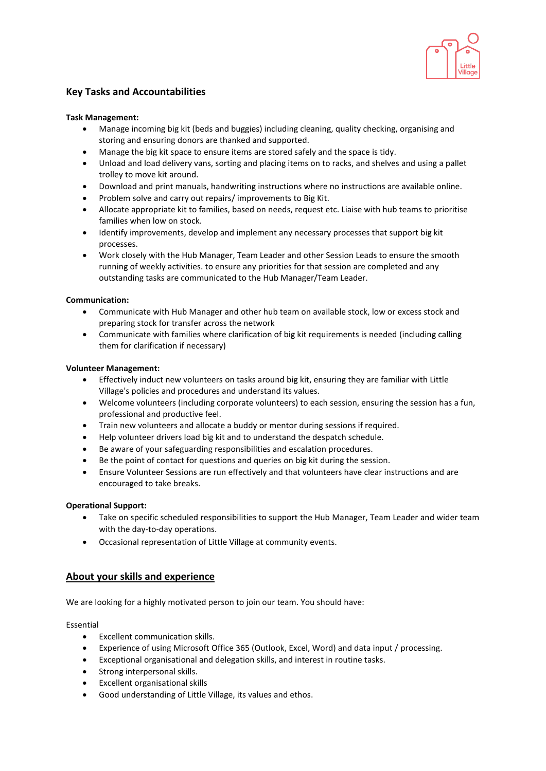

# **Key Tasks and Accountabilities**

### **Task Management:**

- Manage incoming big kit (beds and buggies) including cleaning, quality checking, organising and storing and ensuring donors are thanked and supported.
- Manage the big kit space to ensure items are stored safely and the space is tidy.
- Unload and load delivery vans, sorting and placing items on to racks, and shelves and using a pallet trolley to move kit around.
- Download and print manuals, handwriting instructions where no instructions are available online.
- Problem solve and carry out repairs/ improvements to Big Kit.
- Allocate appropriate kit to families, based on needs, request etc. Liaise with hub teams to prioritise families when low on stock.
- Identify improvements, develop and implement any necessary processes that support big kit processes.
- Work closely with the Hub Manager, Team Leader and other Session Leads to ensure the smooth running of weekly activities. to ensure any priorities for that session are completed and any outstanding tasks are communicated to the Hub Manager/Team Leader.

### **Communication:**

- Communicate with Hub Manager and other hub team on available stock, low or excess stock and preparing stock for transfer across the network
- Communicate with families where clarification of big kit requirements is needed (including calling them for clarification if necessary)

### **Volunteer Management:**

- Effectively induct new volunteers on tasks around big kit, ensuring they are familiar with Little Village's policies and procedures and understand its values.
- Welcome volunteers (including corporate volunteers) to each session, ensuring the session has a fun, professional and productive feel.
- Train new volunteers and allocate a buddy or mentor during sessions if required.
- Help volunteer drivers load big kit and to understand the despatch schedule.
- Be aware of your safeguarding responsibilities and escalation procedures.
- Be the point of contact for questions and queries on big kit during the session.
- Ensure Volunteer Sessions are run effectively and that volunteers have clear instructions and are encouraged to take breaks.

### **Operational Support:**

- Take on specific scheduled responsibilities to support the Hub Manager, Team Leader and wider team with the day-to-day operations.
- Occasional representation of Little Village at community events.

# **About your skills and experience**

We are looking for a highly motivated person to join our team. You should have:

### Essential

- Excellent communication skills.
- Experience of using Microsoft Office 365 (Outlook, Excel, Word) and data input / processing.
- Exceptional organisational and delegation skills, and interest in routine tasks.
- Strong interpersonal skills.
- Excellent organisational skills
- Good understanding of Little Village, its values and ethos.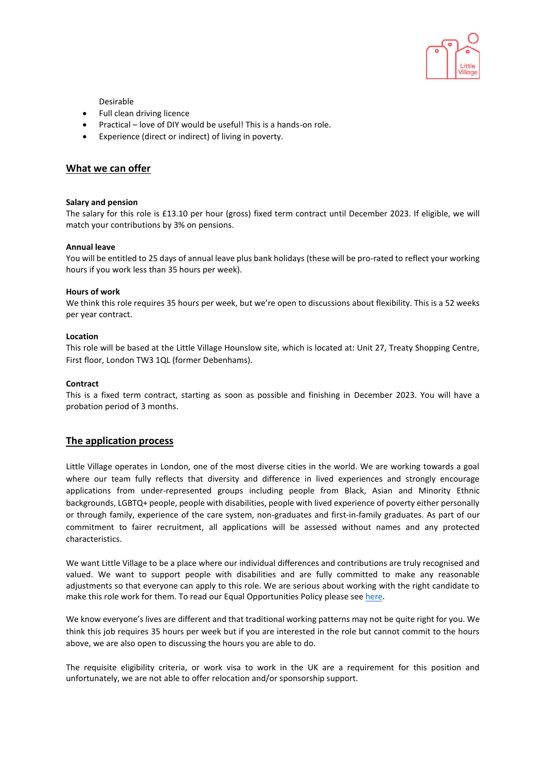

Desirable

- Full clean driving licence
- Practical love of DIY would be useful! This is a hands-on role.
- Experience (direct or indirect) of living in poverty.

### **What we can offer**

### **Salary and pension**

The salary for this role is £13.10 per hour (gross) fixed term contract until December 2023. If eligible, we will match your contributions by 3% on pensions.

### **Annual leave**

You will be entitled to 25 days of annual leave plus bank holidays (these will be pro-rated to reflect your working hours if you work less than 35 hours per week).

### **Hours of work**

We think this role requires 35 hours per week, but we're open to discussions about flexibility. This is a 52 weeks per year contract.

### **Location**

This role will be based at the Little Village Hounslow site, which is located at: Unit 27, Treaty Shopping Centre, First floor, London TW3 1QL (former Debenhams).

### **Contract**

This is a fixed term contract, starting as soon as possible and finishing in December 2023. You will have a probation period of 3 months.

### **The application process**

Little Village operates in London, one of the most diverse cities in the world. We are working towards a goal where our team fully reflects that diversity and difference in lived experiences and strongly encourage applications from under-represented groups including people from Black, Asian and Minority Ethnic backgrounds, LGBTQ+ people, people with disabilities, people with lived experience of poverty either personally or through family, experience of the care system, non-graduates and first-in-family graduates. As part of our commitment to fairer recruitment, all applications will be assessed without names and any protected characteristics.

We want Little Village to be a place where our individual differences and contributions are truly recognised and valued. We want to support people with disabilities and are fully committed to make any reasonable adjustments so that everyone can apply to this role. We are serious about working with the right candidate to make this role work for them. To read our Equal Opportunities Policy please se[e here.](https://wp.littlevillagehq.org/wp-content/uploads/2021/06/Little_Village.Equal_Opportunities.March_2021.FINAL-Copy.pdf)

We know everyone's lives are different and that traditional working patterns may not be quite right for you. We think this job requires 35 hours per week but if you are interested in the role but cannot commit to the hours above, we are also open to discussing the hours you are able to do.

The requisite eligibility criteria, or work visa to work in the UK are a requirement for this position and unfortunately, we are not able to offer relocation and/or sponsorship support.